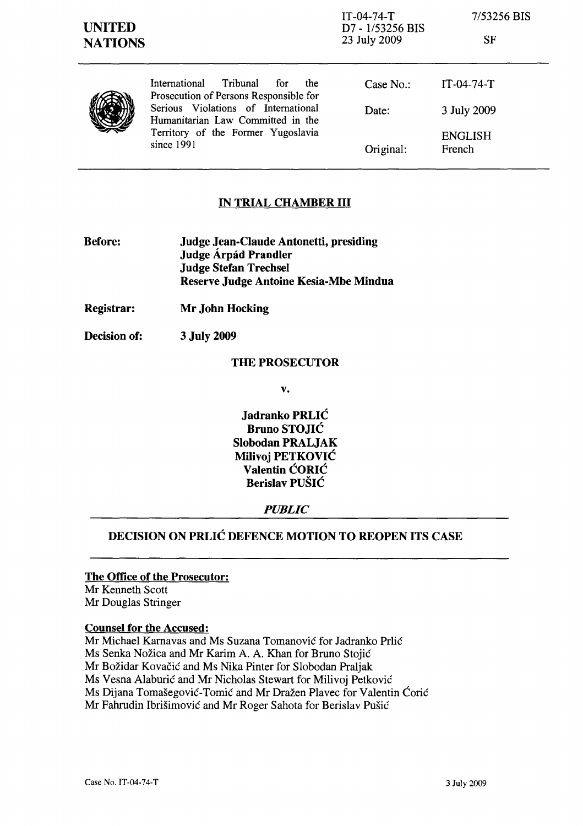## IN TRIAL CHAMBER III

- Before: Judge Jean-Claude Antonetti, presiding Judge Árpád Prandler Judge Stefan Trechsel Reserve Judge Antoine Kesia-Mbe Mindua
- Registrar: Mr John Hocking
- Decision of: 3 July 2009

#### THE PROSECUTOR

v.

Jadranko PRLIC Bruno STOJIC Slobodan PRALJAK Milivoj PETKOVIC Valentin ĆORIĆ Berislav PUSIC

### *PUBLIC*

# DECISION ON PRLIC DEFENCE MOTION TO REOPEN ITS CASE

### The Office of the Prosecutor:

Mr Kenneth Scott Mr Douglas Stringer

#### Counsel for the Accused:

Mr Michael Karnavas and Ms Suzana Tomanović for Jadranko Prlić Ms Senka Nožica and Mr Karim A. A. Khan for Bruno Stojić Mr Bozidar Kovacic and Ms Nika Pinter for Slobodan Praljak Ms Vesna Alaburić and Mr Nicholas Stewart for Milivoj Petković Ms Dijana Tomašegović-Tomić and Mr Dražen Plavec for Valentin Ćorić Mr Fahrudin Ibrišimović and Mr Roger Sahota for Berislav Pušić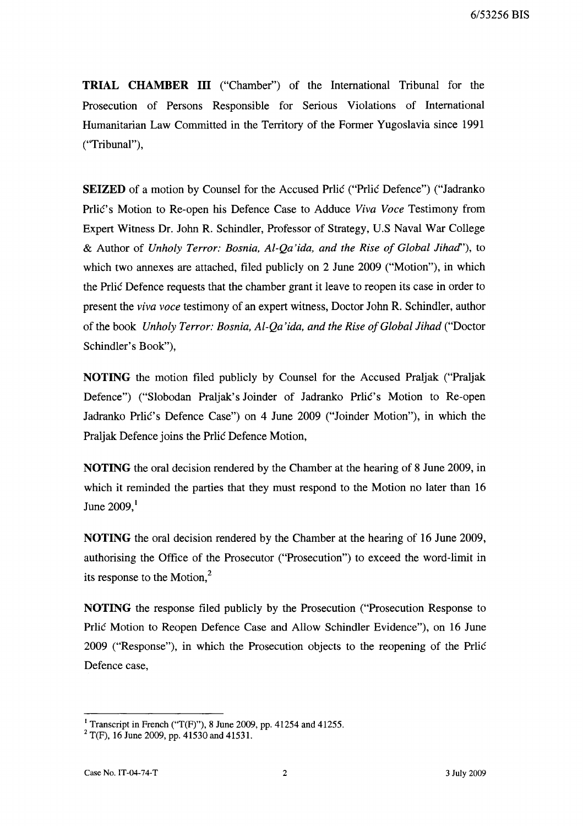6/53256 BIS

**TRIAL CHAMBER III** ("Chamber") of the International Tribunal for the Prosecution of Persons Responsible for Serious Violations of International Humanitarian Law Committed in the Territory of the Former Yugoslavia since 1991 ("Tribunal"),

**SEIZED** of a motion by Counsel for the Accused Prlic ("Prlic Defence") ("Jadranko Prlic's Motion to Re-open his Defence Case to Adduce *Viva Voce* Testimony from Expert Witness Dr. John R. Schindler, Professor of Strategy, U.S Naval War College & Author of *Unholy Terror: Bosnia, Al-Qa'ida, and the Rise of Global Jihacl'),* to which two annexes are attached, filed publicly on 2 June 2009 ("Motion"), in which the Prlic Defence requests that the chamber grant it leave to reopen its case in order to present the *viva voce* testimony of an expert witness, Doctor John R. Schindler, author of the book *Unholy Terror: Bosnia, Al-Qa'ida, and the Rise of Global Jihad* ("Doctor Schindler's Book"),

**NOTING** the motion filed publicly by Counsel for the Accused Praljak ("Praljak Defence") ("Slobodan Praljak's Joinder of Jadranko Prlic's Motion to Re-open Jadranko Prlic's Defence Case") on 4 June 2009 ("Joinder Motion"), in which the Praljak Defence joins the Prlic Defence Motion,

**NOTING** the oral decision rendered by the Chamber at the hearing of 8 June 2009, in which it reminded the parties that they must respond to the Motion no later than 16 June  $2009$ , $<sup>1</sup>$ </sup>

**NOTING** the oral decision rendered by the Chamber at the hearing of 16 June 2009, authorising the Office of the Prosecutor ("Prosecution") to exceed the word-limit in its response to the Motion, <sup>2</sup>

**NOTING** the response filed publicly by the Prosecution ("Prosecution Response to Prlic Motion to Reopen Defence Case and Allow Schindler Evidence"), on 16 June 2009 ("Response"), in which the Prosecution objects to the reopening of the Prlic Defence case,

<sup>&</sup>lt;sup>1</sup> Transcript in French ("T(F)"), 8 June 2009, pp. 41254 and 41255.

 $2$  T(F), 16 June 2009, pp. 41530 and 41531.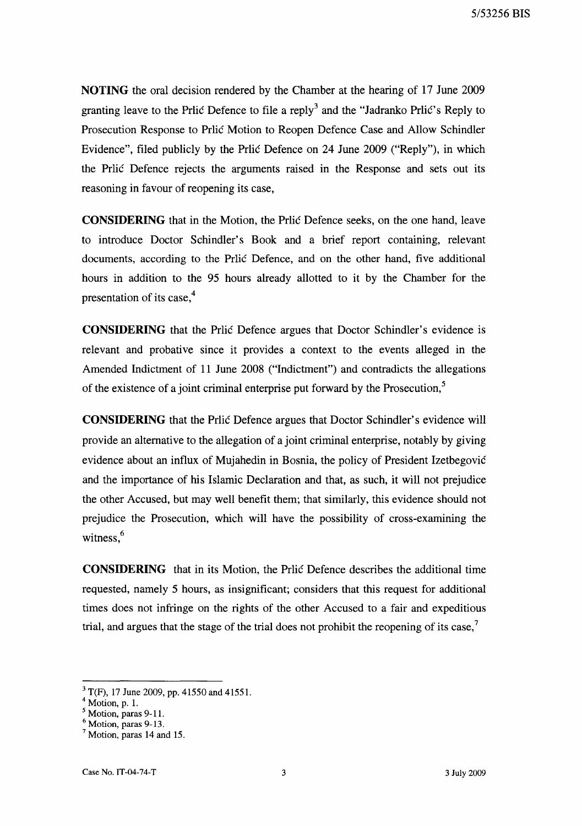**NOTING** the oral decision rendered by the Chamber at the hearing of 17 June 2009 granting leave to the Prlic Defence to file a reply<sup>3</sup> and the "Jadranko Prlic's Reply to Prosecution Response to Prlic Motion to Reopen Defence Case and Allow Schindler Evidence", filed publicly by the Prlic Defence on 24 June 2009 ("Reply"), in which the Prlic Defence rejects the arguments raised in the Response and sets out its reasoning in favour of reopening its case,

**CONSIDERING** that in the Motion, the Prlic Defence seeks, on the one hand, leave to introduce Doctor Schindler's Book and a brief report containing, relevant documents, according to the Prlic Defence, and on the other hand, five additional hours in addition to the 95 hours already allotted to it by the Chamber for the presentation of its case, $4$ 

**CONSIDERING** that the Prlic Defence argues that Doctor Schindler's evidence is relevant and probative since it provides a context to the events alleged in the Amended Indictment of 11 June 2008 ("Indictment") and contradicts the allegations of the existence of a joint criminal enterprise put forward by the Prosecution,<sup>5</sup>

**CONSIDERING** that the Prlic Defence argues that Doctor Schindler's evidence will provide an alternative to the allegation of a joint criminal enterprise, notably by giving evidence about an influx of Mujahedin in Bosnia, the policy of President Izetbegovic and the importance of his Islamic Declaration and that, as such, it will not prejudice the other Accused, but may well benefit them; that similarly, this evidence should not prejudice the Prosecution, which will have the possibility of cross-examining the witness,<sup>6</sup>

**CONSIDERING** that in its Motion, the Prlic Defence describes the additional time requested, namely 5 hours, as insignificant; considers that this request for additional times does not infringe on the rights of the other Accused to a fair and expeditious trial, and argues that the stage of the trial does not prohibit the reopening of its case,<sup>7</sup>

 $3$  T(F), 17 June 2009, pp. 41550 and 41551.

<sup>4</sup> Motion, p. 1.

 $<sup>5</sup>$  Motion, paras 9-11.</sup>

<sup>6</sup> Motion, paras 9-13.

 $<sup>7</sup>$  Motion, paras 14 and 15.</sup>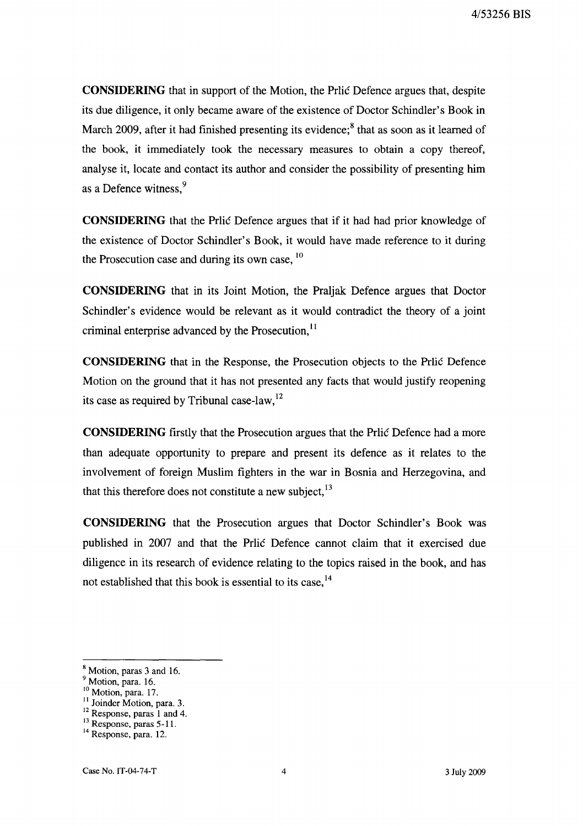**CONSIDERING** that in support of the Motion, the Pric Defence argues that, despite its due diligence, it only became aware of the existence of Doctor Schindler's Book in March 2009, after it had finished presenting its evidence; $<sup>8</sup>$  that as soon as it learned of</sup> the book, it immediately took the necessary measures to obtain a copy thereof, analyse it, locate and contact its author and consider the possibility of presenting him as a Defence witness.<sup>9</sup>

**CONSIDERING** that the Prlic Defence argues that if it had had prior knowledge of the existence of Doctor Schindler's Book, it would have made reference to it during the Prosecution case and during its own case,  $10$ 

**CONSIDERING** that in its Joint Motion, the Praljak Defence argues that Doctor Schindler's evidence would be relevant as it would contradict the theory of a joint criminal enterprise advanced by the Prosecution,<sup>11</sup>

**CONSIDERING** that in the Response, the Prosecution objects to the Prlić Defence Motion on the ground that it has not presented any facts that would justify reopening its case as required by Tribunal case-law, $^{12}$ 

**CONSIDERING** firstly that the Prosecution argues that the Price Defence had a more than adequate opportunity to prepare and present its defence as it relates to the involvement of foreign Muslim fighters in the war in Bosnia and Herzegovina, and that this therefore does not constitute a new subject, $^{13}$ 

**CONSIDERING** that the Prosecution argues that Doctor Schindler's Book was published in 2007 and that the Prlic Defence cannot claim that it exercised due diligence in its research of evidence relating to the topics raised in the book, and has not established that this book is essential to its case,<sup>14</sup>

<sup>&</sup>lt;sup>8</sup> Motion, paras 3 and 16.

<sup>&</sup>lt;sup>9</sup> Motion, para. 16.

<sup>&</sup>lt;sup>10</sup> Motion, para. 17.

<sup>&</sup>lt;sup>11</sup> Joinder Motion, para. 3.

<sup>&</sup>lt;sup>12</sup> Response, paras 1 and 4.

<sup>&</sup>lt;sup>13</sup> Response, paras 5-11.

<sup>&</sup>lt;sup>14</sup> Response, para. 12.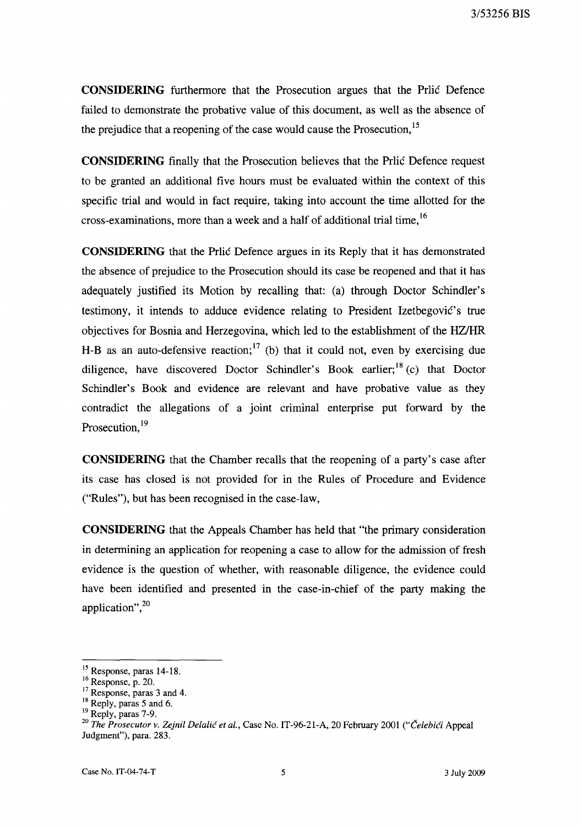3/53256 BIS

**CONSIDERING** furthennore that the Prosecution argues that the Prlic Defence failed to demonstrate the probative value of this document, as well as the absence of the prejudice that a reopening of the case would cause the Prosecution, 15

**CONSIDERING** finally that the Prosecution believes that the Prlic Defence request to be granted an additional five hours must be evaluated within the context of this specific trial and would in fact require, taking into account the time allotted for the cross-examinations, more than a week and a half of additional trial time, <sup>16</sup>

**CONSIDERING** that the Prlic Defence argues in its Reply that it has demonstrated the absence of prejudice to the Prosecution should its case be reopened and that it has adequately justified its Motion by recalling that: (a) through Doctor Schindler's testimony, it intends to adduce evidence relating to President Izetbegović's true objectives for Bosnia and Herzegovina, which led to the establishment of the HZlHR H-B as an auto-defensive reaction;<sup>17</sup> (b) that it could not, even by exercising due diligence, have discovered Doctor Schindler's Book earlier;<sup>18</sup> (c) that Doctor Schindler's Book and evidence are relevant and have probative value as they contradict the allegations of a joint criminal enterprise put forward by the Prosecution, <sup>19</sup>

**CONSIDERING** that the Chamber recalls that the reopening of a party's case after its case has closed is not provided for in the Rules of Procedure and Evidence ("Rules"), but has been recognised in the case-law,

**CONSIDERING** that the Appeals Chamber has held that "the primary consideration in detennining an application for reopening a case to allow for the admission of fresh evidence is the question of whether, with reasonable diligence, the evidence could have been identified and presented in the case-in-chief of the party making the application", $^{20}$ 

<sup>15</sup> Response, paras 14-18.

<sup>16</sup> Response, p. 20.

<sup>&</sup>lt;sup>17</sup> Response, paras 3 and 4.

<sup>&</sup>lt;sup>18</sup> Reply, paras 5 and 6.

<sup>19</sup> Reply, paras 7-9.

*<sup>20</sup> The Prosecutor v. Zejnil Delalic et aI.,* Case No. IT-96-21-A, 20 February 2001 *("Celebici* Appeal Judgment"), para. 283.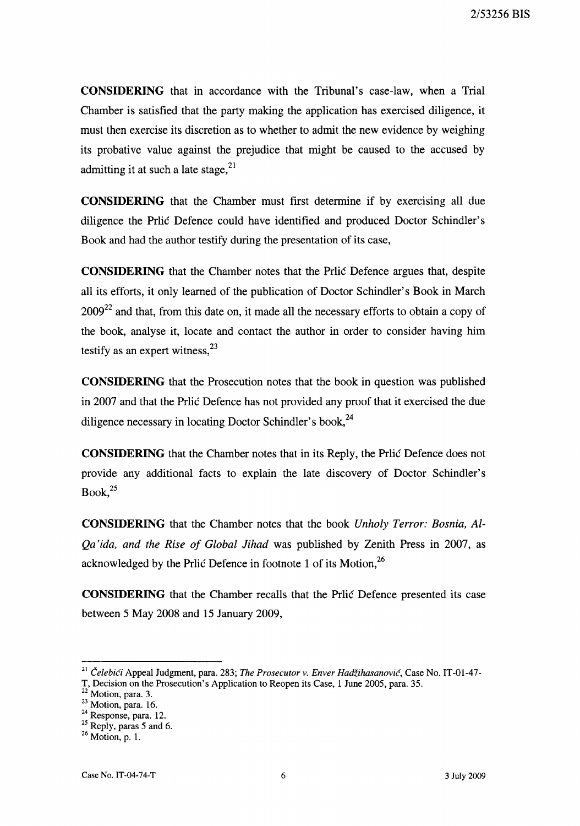**CONSIDERING** that in accordance with the Tribunal's case-law, when a Trial Chamber is satisfied that the party making the application has exercised diligence, it must then exercise its discretion as to whether to admit the new evidence by weighing its probative value against the prejudice that might be caused to the accused by admitting it at such a late stage,  $2<sup>1</sup>$ 

**CONSIDERING** that the Chamber must first determine if by exercising all due diligence the Prlic Defence could have identified and produced Doctor Schindler's Book and had the author testify during the presentation of its case,

**CONSIDERING** that the Chamber notes that the Prlic Defence argues that, despite all its efforts, it only learned of the publication of Doctor Schindler's Book in March  $2009^{22}$  and that, from this date on, it made all the necessary efforts to obtain a copy of the book, analyse it, locate and contact the author in order to consider having him testify as an expert witness,  $2^3$ 

**CONSIDERING** that the Prosecution notes that the book in question was published in 2007 and that the Prlic Defence has not provided any proof that it exercised the due diligence necessary in locating Doctor Schindler's book,  $^{24}$ 

**CONSIDERING** that the Chamber notes that in its Reply, the Prlic Defence does not provide any additional facts to explain the late discovery of Doctor Schindler's  $Book.<sup>25</sup>$ 

**CONSIDERING** that the Chamber notes that the book *Unholy Terror: Bosnia, Al-Qa'ida, and the Rise of Global Jihad* was published by Zenith Press in 2007, as acknowledged by the Prlic Defence in footnote 1 of its Motion,  $^{26}$ 

**CONSIDERING** that the Chamber recalls that the Prlic Defence presented its case between 5 May 2008 and 15 January 2009,

<sup>21</sup>*Celebici* Appeal Judgment, para. 283; *The Prosecutor v. Enver Hadzihasanovic,* Case No. IT-OI-47-

T, Decision on the Prosecution's Application to Reopen its Case, 1 June 2005, para. 35.

 $22$ <sup>22</sup> Motion, para. 3.

 $23$  Motion, para. 16.

<sup>24</sup> Response, para. 12.

 $25$  Reply, paras 5 and 6.

 $26$  Motion, p. 1.